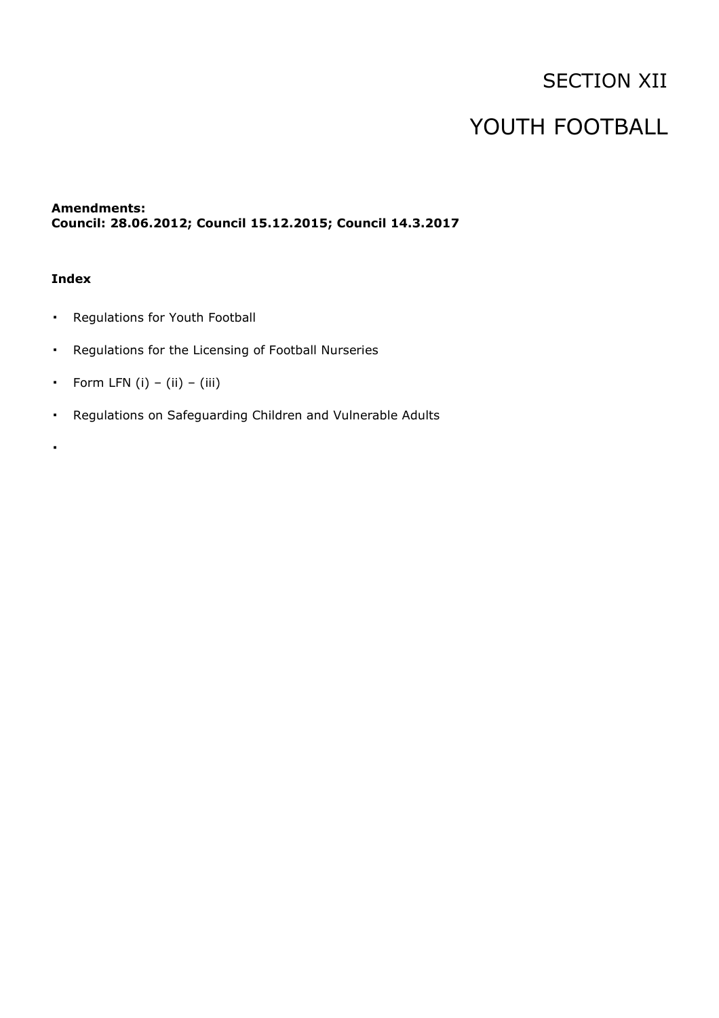# SECTION XII

# YOUTH FOOTBALL

## **Amendments: Council: 28.06.2012; Council 15.12.2015; Council 14.3.2017**

## **Index**

▪

- Regulations for Youth Football
- Regulations for the Licensing of Football Nurseries
- **•** Form LFN  $(i) (ii) (iii)$
- Regulations on Safeguarding Children and Vulnerable Adults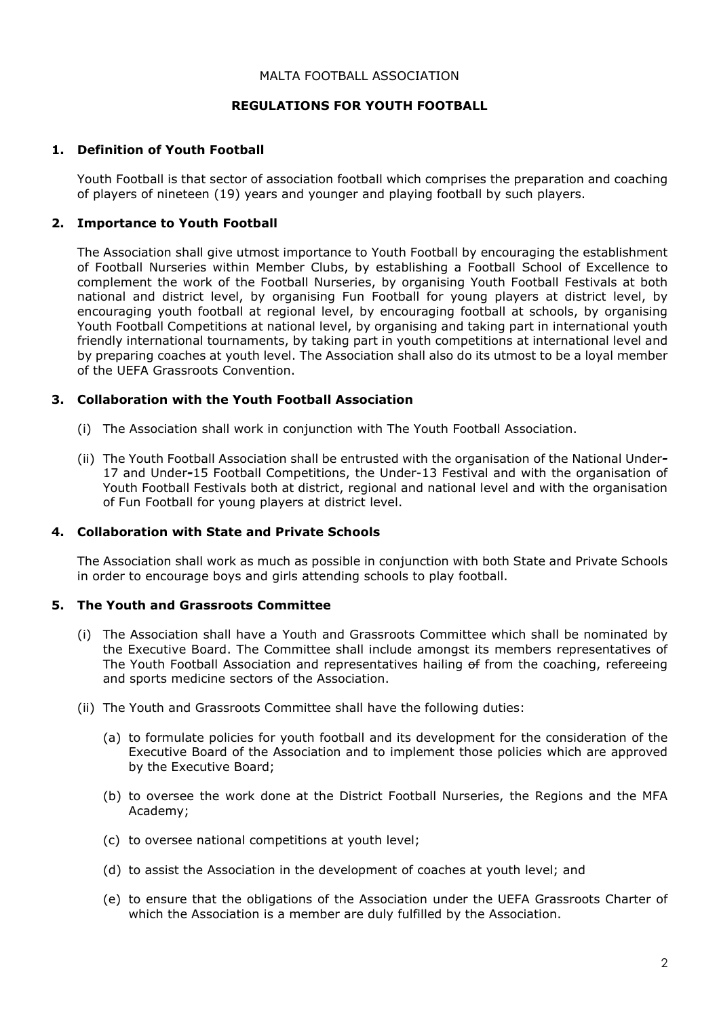### MALTA FOOTBALL ASSOCIATION

## **REGULATIONS FOR YOUTH FOOTBALL**

## **1. Definition of Youth Football**

Youth Football is that sector of association football which comprises the preparation and coaching of players of nineteen (19) years and younger and playing football by such players.

## **2. Importance to Youth Football**

The Association shall give utmost importance to Youth Football by encouraging the establishment of Football Nurseries within Member Clubs, by establishing a Football School of Excellence to complement the work of the Football Nurseries, by organising Youth Football Festivals at both national and district level, by organising Fun Football for young players at district level, by encouraging youth football at regional level, by encouraging football at schools, by organising Youth Football Competitions at national level, by organising and taking part in international youth friendly international tournaments, by taking part in youth competitions at international level and by preparing coaches at youth level. The Association shall also do its utmost to be a loyal member of the UEFA Grassroots Convention.

## **3. Collaboration with the Youth Football Association**

- (i) The Association shall work in conjunction with The Youth Football Association.
- (ii) The Youth Football Association shall be entrusted with the organisation of the National Under*-*17 and Under*-*15 Football Competitions, the Under-13 Festival and with the organisation of Youth Football Festivals both at district, regional and national level and with the organisation of Fun Football for young players at district level.

## **4. Collaboration with State and Private Schools**

The Association shall work as much as possible in conjunction with both State and Private Schools in order to encourage boys and girls attending schools to play football.

## **5. The Youth and Grassroots Committee**

- (i) The Association shall have a Youth and Grassroots Committee which shall be nominated by the Executive Board. The Committee shall include amongst its members representatives of The Youth Football Association and representatives hailing of from the coaching, refereeing and sports medicine sectors of the Association.
- (ii) The Youth and Grassroots Committee shall have the following duties:
	- (a) to formulate policies for youth football and its development for the consideration of the Executive Board of the Association and to implement those policies which are approved by the Executive Board;
	- (b) to oversee the work done at the District Football Nurseries, the Regions and the MFA Academy;
	- (c) to oversee national competitions at youth level;
	- (d) to assist the Association in the development of coaches at youth level; and
	- (e) to ensure that the obligations of the Association under the UEFA Grassroots Charter of which the Association is a member are duly fulfilled by the Association.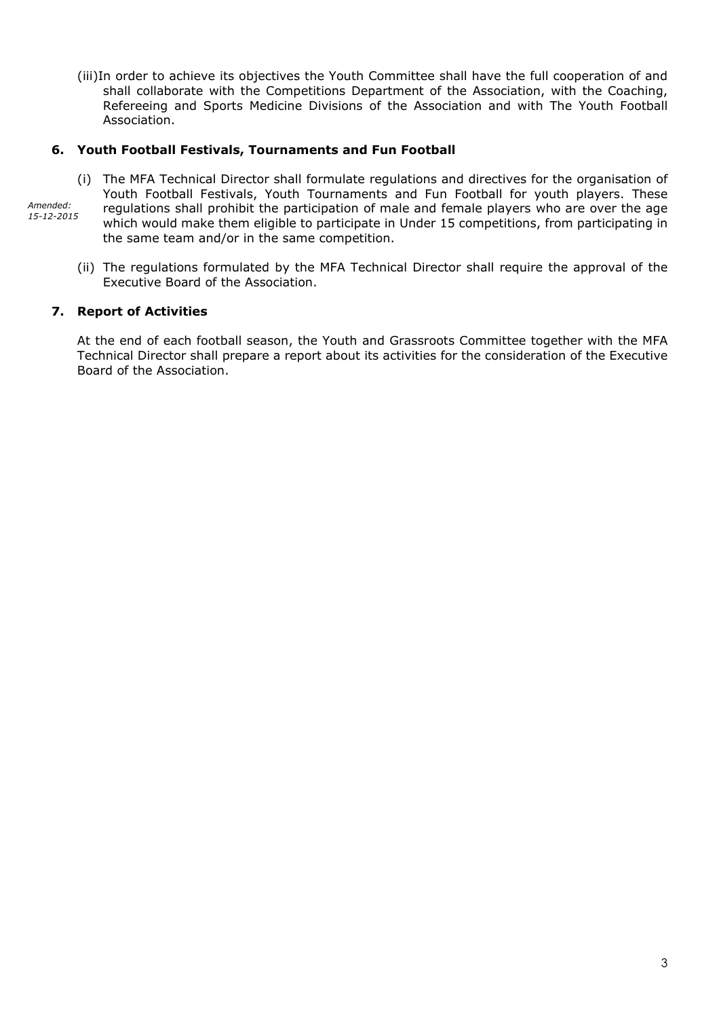(iii)In order to achieve its objectives the Youth Committee shall have the full cooperation of and shall collaborate with the Competitions Department of the Association, with the Coaching, Refereeing and Sports Medicine Divisions of the Association and with The Youth Football Association.

## **6. Youth Football Festivals, Tournaments and Fun Football**

- (i) The MFA Technical Director shall formulate regulations and directives for the organisation of Youth Football Festivals, Youth Tournaments and Fun Football for youth players. These regulations shall prohibit the participation of male and female players who are over the age which would make them eligible to participate in Under 15 competitions, from participating in the same team and/or in the same competition. *Amended: 15-12-2015*
	- (ii) The regulations formulated by the MFA Technical Director shall require the approval of the Executive Board of the Association.

## **7. Report of Activities**

At the end of each football season, the Youth and Grassroots Committee together with the MFA Technical Director shall prepare a report about its activities for the consideration of the Executive Board of the Association.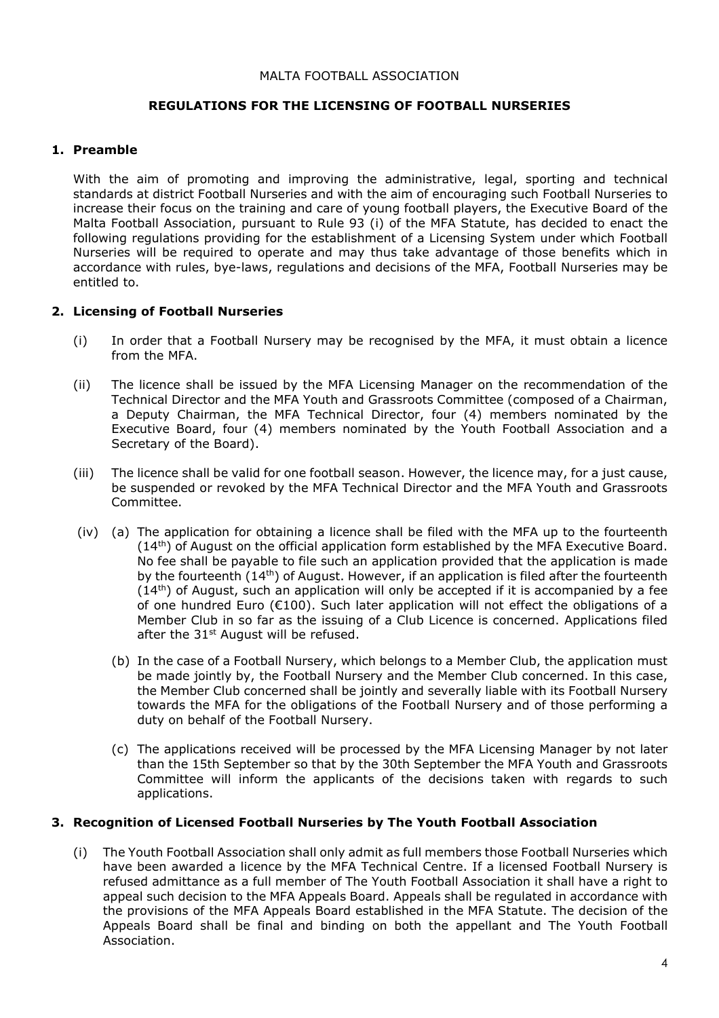#### MALTA FOOTBALL ASSOCIATION

## **REGULATIONS FOR THE LICENSING OF FOOTBALL NURSERIES**

## **1. Preamble**

With the aim of promoting and improving the administrative, legal, sporting and technical standards at district Football Nurseries and with the aim of encouraging such Football Nurseries to increase their focus on the training and care of young football players, the Executive Board of the Malta Football Association, pursuant to Rule 93 (i) of the MFA Statute, has decided to enact the following regulations providing for the establishment of a Licensing System under which Football Nurseries will be required to operate and may thus take advantage of those benefits which in accordance with rules, bye-laws, regulations and decisions of the MFA, Football Nurseries may be entitled to.

## **2. Licensing of Football Nurseries**

- (i) In order that a Football Nursery may be recognised by the MFA, it must obtain a licence from the MFA.
- (ii) The licence shall be issued by the MFA Licensing Manager on the recommendation of the Technical Director and the MFA Youth and Grassroots Committee (composed of a Chairman, a Deputy Chairman, the MFA Technical Director, four (4) members nominated by the Executive Board, four (4) members nominated by the Youth Football Association and a Secretary of the Board).
- (iii) The licence shall be valid for one football season. However, the licence may, for a just cause, be suspended or revoked by the MFA Technical Director and the MFA Youth and Grassroots Committee.
- (iv) (a) The application for obtaining a licence shall be filed with the MFA up to the fourteenth  $(14<sup>th</sup>)$  of August on the official application form established by the MFA Executive Board. No fee shall be payable to file such an application provided that the application is made by the fourteenth (14<sup>th</sup>) of August. However, if an application is filed after the fourteenth  $(14<sup>th</sup>)$  of August, such an application will only be accepted if it is accompanied by a fee of one hundred Euro (€100). Such later application will not effect the obligations of a Member Club in so far as the issuing of a Club Licence is concerned. Applications filed after the  $31<sup>st</sup>$  August will be refused.
	- (b) In the case of a Football Nursery, which belongs to a Member Club, the application must be made jointly by, the Football Nursery and the Member Club concerned. In this case, the Member Club concerned shall be jointly and severally liable with its Football Nursery towards the MFA for the obligations of the Football Nursery and of those performing a duty on behalf of the Football Nursery.
	- (c) The applications received will be processed by the MFA Licensing Manager by not later than the 15th September so that by the 30th September the MFA Youth and Grassroots Committee will inform the applicants of the decisions taken with regards to such applications.

## **3. Recognition of Licensed Football Nurseries by The Youth Football Association**

(i) The Youth Football Association shall only admit as full members those Football Nurseries which have been awarded a licence by the MFA Technical Centre. If a licensed Football Nursery is refused admittance as a full member of The Youth Football Association it shall have a right to appeal such decision to the MFA Appeals Board. Appeals shall be regulated in accordance with the provisions of the MFA Appeals Board established in the MFA Statute. The decision of the Appeals Board shall be final and binding on both the appellant and The Youth Football Association.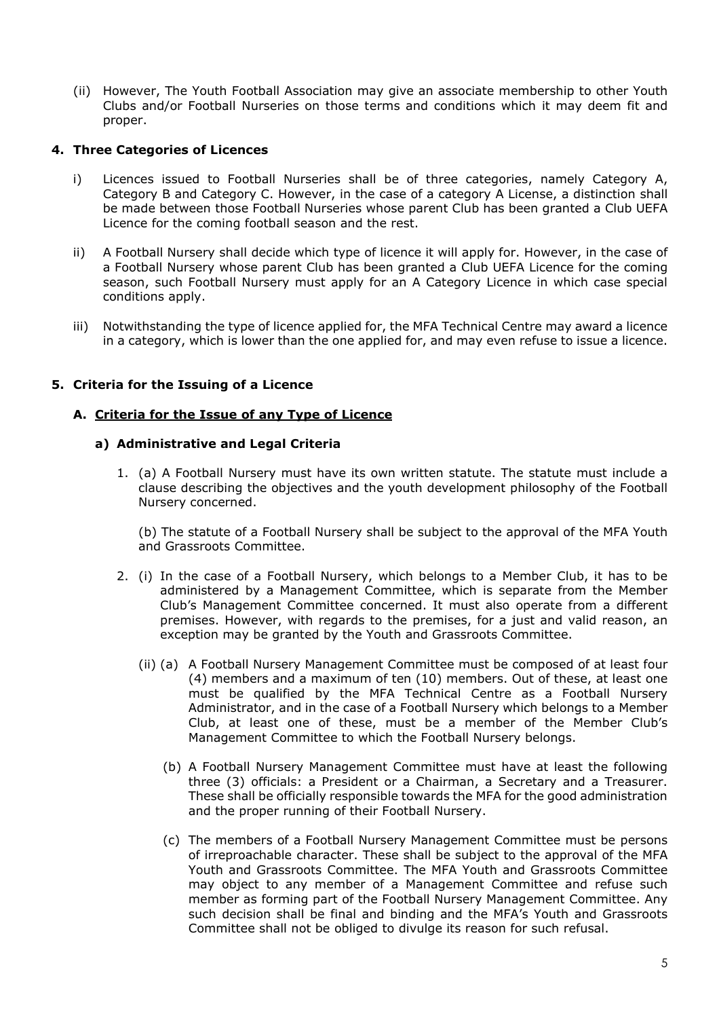(ii) However, The Youth Football Association may give an associate membership to other Youth Clubs and/or Football Nurseries on those terms and conditions which it may deem fit and proper.

## **4. Three Categories of Licences**

- i) Licences issued to Football Nurseries shall be of three categories, namely Category A, Category B and Category C. However, in the case of a category A License, a distinction shall be made between those Football Nurseries whose parent Club has been granted a Club UEFA Licence for the coming football season and the rest.
- ii) A Football Nursery shall decide which type of licence it will apply for. However, in the case of a Football Nursery whose parent Club has been granted a Club UEFA Licence for the coming season, such Football Nursery must apply for an A Category Licence in which case special conditions apply.
- iii) Notwithstanding the type of licence applied for, the MFA Technical Centre may award a licence in a category, which is lower than the one applied for, and may even refuse to issue a licence.

## **5. Criteria for the Issuing of a Licence**

## **A. Criteria for the Issue of any Type of Licence**

## **a) Administrative and Legal Criteria**

1. (a) A Football Nursery must have its own written statute. The statute must include a clause describing the objectives and the youth development philosophy of the Football Nursery concerned.

(b) The statute of a Football Nursery shall be subject to the approval of the MFA Youth and Grassroots Committee.

- 2. (i) In the case of a Football Nursery, which belongs to a Member Club, it has to be administered by a Management Committee, which is separate from the Member Club's Management Committee concerned. It must also operate from a different premises. However, with regards to the premises, for a just and valid reason, an exception may be granted by the Youth and Grassroots Committee.
	- (ii) (a) A Football Nursery Management Committee must be composed of at least four (4) members and a maximum of ten (10) members. Out of these, at least one must be qualified by the MFA Technical Centre as a Football Nursery Administrator, and in the case of a Football Nursery which belongs to a Member Club, at least one of these, must be a member of the Member Club's Management Committee to which the Football Nursery belongs.
		- (b) A Football Nursery Management Committee must have at least the following three (3) officials: a President or a Chairman, a Secretary and a Treasurer. These shall be officially responsible towards the MFA for the good administration and the proper running of their Football Nursery.
		- (c) The members of a Football Nursery Management Committee must be persons of irreproachable character. These shall be subject to the approval of the MFA Youth and Grassroots Committee. The MFA Youth and Grassroots Committee may object to any member of a Management Committee and refuse such member as forming part of the Football Nursery Management Committee. Any such decision shall be final and binding and the MFA's Youth and Grassroots Committee shall not be obliged to divulge its reason for such refusal.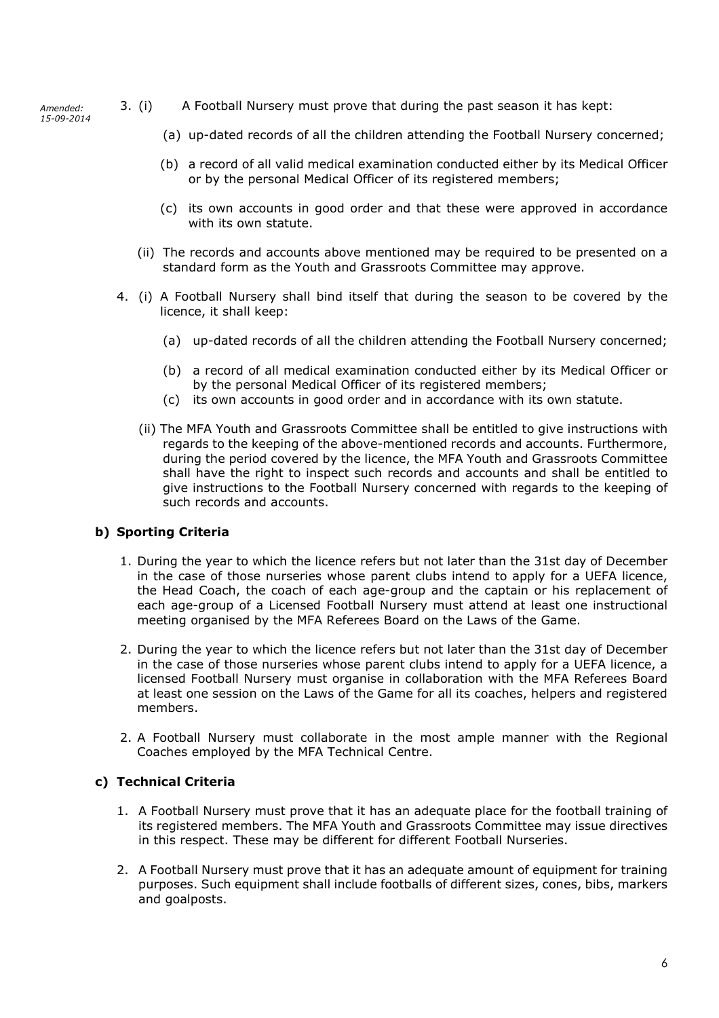*Amended: 15-09-2014*

- 3. (i) A Football Nursery must prove that during the past season it has kept:
	- (a) up-dated records of all the children attending the Football Nursery concerned;
	- (b) a record of all valid medical examination conducted either by its Medical Officer or by the personal Medical Officer of its registered members;
	- (c) its own accounts in good order and that these were approved in accordance with its own statute.
	- (ii) The records and accounts above mentioned may be required to be presented on a standard form as the Youth and Grassroots Committee may approve.
- 4. (i) A Football Nursery shall bind itself that during the season to be covered by the licence, it shall keep:
	- (a) up-dated records of all the children attending the Football Nursery concerned;
	- (b) a record of all medical examination conducted either by its Medical Officer or by the personal Medical Officer of its registered members;
	- (c) its own accounts in good order and in accordance with its own statute.
	- (ii) The MFA Youth and Grassroots Committee shall be entitled to give instructions with regards to the keeping of the above-mentioned records and accounts. Furthermore, during the period covered by the licence, the MFA Youth and Grassroots Committee shall have the right to inspect such records and accounts and shall be entitled to give instructions to the Football Nursery concerned with regards to the keeping of such records and accounts.

## **b) Sporting Criteria**

- 1. During the year to which the licence refers but not later than the 31st day of December in the case of those nurseries whose parent clubs intend to apply for a UEFA licence, the Head Coach, the coach of each age-group and the captain or his replacement of each age-group of a Licensed Football Nursery must attend at least one instructional meeting organised by the MFA Referees Board on the Laws of the Game.
- 2. During the year to which the licence refers but not later than the 31st day of December in the case of those nurseries whose parent clubs intend to apply for a UEFA licence, a licensed Football Nursery must organise in collaboration with the MFA Referees Board at least one session on the Laws of the Game for all its coaches, helpers and registered members.
- 2. A Football Nursery must collaborate in the most ample manner with the Regional Coaches employed by the MFA Technical Centre.

## **c) Technical Criteria**

- 1. A Football Nursery must prove that it has an adequate place for the football training of its registered members. The MFA Youth and Grassroots Committee may issue directives in this respect. These may be different for different Football Nurseries.
- 2. A Football Nursery must prove that it has an adequate amount of equipment for training purposes. Such equipment shall include footballs of different sizes, cones, bibs, markers and goalposts.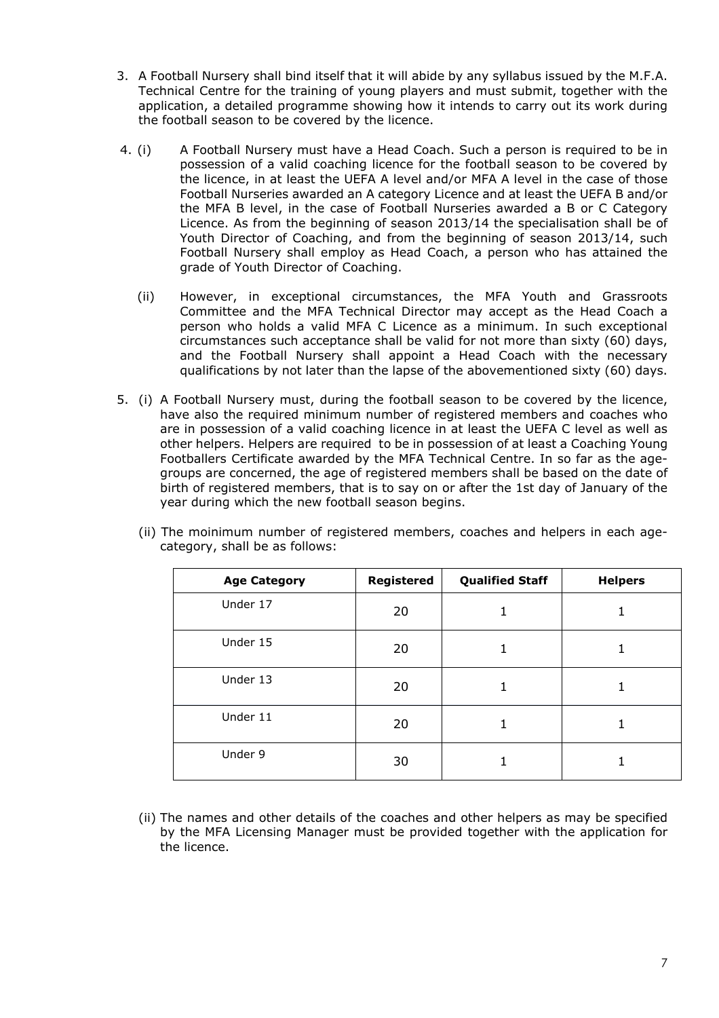- 3. A Football Nursery shall bind itself that it will abide by any syllabus issued by the M.F.A. Technical Centre for the training of young players and must submit, together with the application, a detailed programme showing how it intends to carry out its work during the football season to be covered by the licence.
- 4. (i) A Football Nursery must have a Head Coach. Such a person is required to be in possession of a valid coaching licence for the football season to be covered by the licence, in at least the UEFA A level and/or MFA A level in the case of those Football Nurseries awarded an A category Licence and at least the UEFA B and/or the MFA B level, in the case of Football Nurseries awarded a B or C Category Licence. As from the beginning of season 2013/14 the specialisation shall be of Youth Director of Coaching, and from the beginning of season 2013/14, such Football Nursery shall employ as Head Coach, a person who has attained the grade of Youth Director of Coaching.
	- (ii) However, in exceptional circumstances, the MFA Youth and Grassroots Committee and the MFA Technical Director may accept as the Head Coach a person who holds a valid MFA C Licence as a minimum. In such exceptional circumstances such acceptance shall be valid for not more than sixty (60) days, and the Football Nursery shall appoint a Head Coach with the necessary qualifications by not later than the lapse of the abovementioned sixty (60) days.
- 5. (i) A Football Nursery must, during the football season to be covered by the licence, have also the required minimum number of registered members and coaches who are in possession of a valid coaching licence in at least the UEFA C level as well as other helpers. Helpers are required to be in possession of at least a Coaching Young Footballers Certificate awarded by the MFA Technical Centre. In so far as the agegroups are concerned, the age of registered members shall be based on the date of birth of registered members, that is to say on or after the 1st day of January of the year during which the new football season begins.

| <b>Age Category</b> | Registered | <b>Qualified Staff</b> | <b>Helpers</b> |
|---------------------|------------|------------------------|----------------|
| Under 17            | 20         |                        |                |
| Under 15            | 20         | 1                      |                |
| Under 13            | 20         | 1                      |                |
| Under 11            | 20         | 1                      |                |
| Under 9             | 30         |                        |                |

(ii) The moinimum number of registered members, coaches and helpers in each agecategory, shall be as follows:

(ii) The names and other details of the coaches and other helpers as may be specified by the MFA Licensing Manager must be provided together with the application for the licence.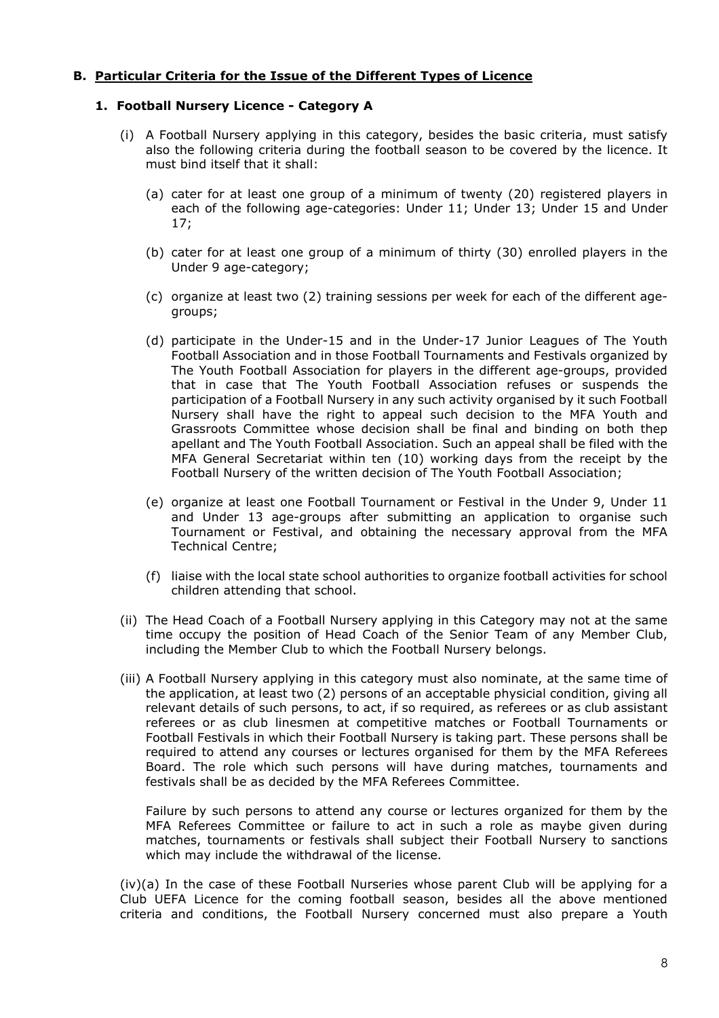## **B. Particular Criteria for the Issue of the Different Types of Licence**

## **1. Football Nursery Licence - Category A**

- (i) A Football Nursery applying in this category, besides the basic criteria, must satisfy also the following criteria during the football season to be covered by the licence. It must bind itself that it shall:
	- (a) cater for at least one group of a minimum of twenty (20) registered players in each of the following age-categories: Under 11; Under 13; Under 15 and Under 17;
	- (b) cater for at least one group of a minimum of thirty (30) enrolled players in the Under 9 age-category;
	- (c) organize at least two (2) training sessions per week for each of the different agegroups;
	- (d) participate in the Under-15 and in the Under-17 Junior Leagues of The Youth Football Association and in those Football Tournaments and Festivals organized by The Youth Football Association for players in the different age-groups, provided that in case that The Youth Football Association refuses or suspends the participation of a Football Nursery in any such activity organised by it such Football Nursery shall have the right to appeal such decision to the MFA Youth and Grassroots Committee whose decision shall be final and binding on both thep apellant and The Youth Football Association. Such an appeal shall be filed with the MFA General Secretariat within ten (10) working days from the receipt by the Football Nursery of the written decision of The Youth Football Association;
	- (e) organize at least one Football Tournament or Festival in the Under 9, Under 11 and Under 13 age-groups after submitting an application to organise such Tournament or Festival, and obtaining the necessary approval from the MFA Technical Centre;
	- (f) liaise with the local state school authorities to organize football activities for school children attending that school.
- (ii) The Head Coach of a Football Nursery applying in this Category may not at the same time occupy the position of Head Coach of the Senior Team of any Member Club, including the Member Club to which the Football Nursery belongs.
- (iii) A Football Nursery applying in this category must also nominate, at the same time of the application, at least two (2) persons of an acceptable physicial condition, giving all relevant details of such persons, to act, if so required, as referees or as club assistant referees or as club linesmen at competitive matches or Football Tournaments or Football Festivals in which their Football Nursery is taking part. These persons shall be required to attend any courses or lectures organised for them by the MFA Referees Board. The role which such persons will have during matches, tournaments and festivals shall be as decided by the MFA Referees Committee.

Failure by such persons to attend any course or lectures organized for them by the MFA Referees Committee or failure to act in such a role as maybe given during matches, tournaments or festivals shall subject their Football Nursery to sanctions which may include the withdrawal of the license.

(iv)(a) In the case of these Football Nurseries whose parent Club will be applying for a Club UEFA Licence for the coming football season, besides all the above mentioned criteria and conditions, the Football Nursery concerned must also prepare a Youth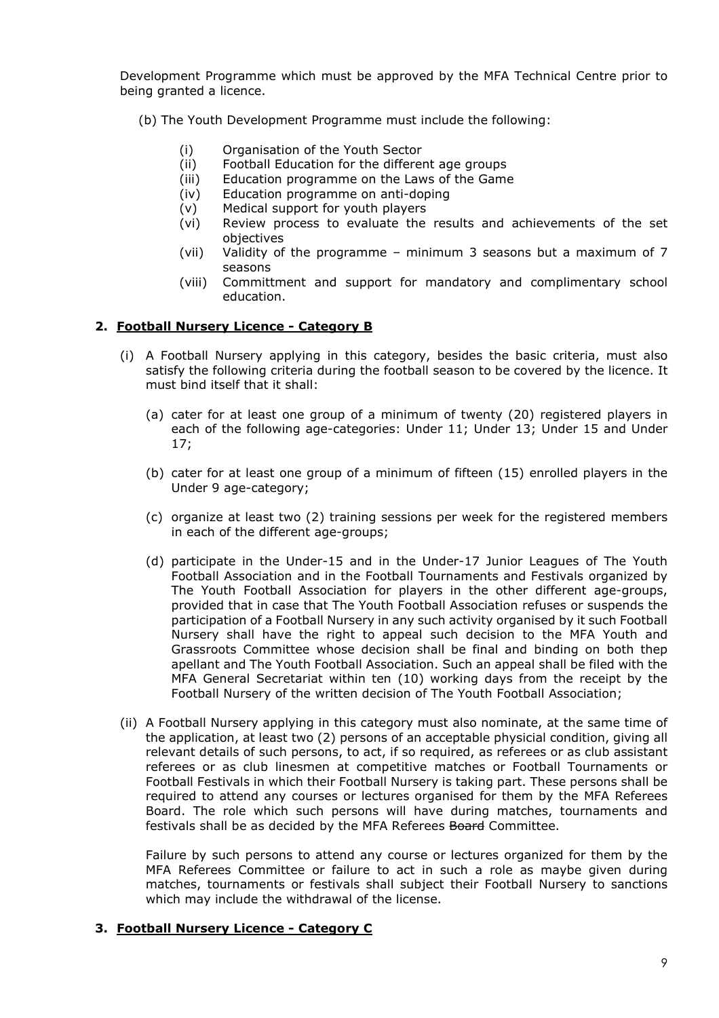Development Programme which must be approved by the MFA Technical Centre prior to being granted a licence.

- (b) The Youth Development Programme must include the following:
	- (i) Organisation of the Youth Sector
	- (ii) Football Education for the different age groups
	- (iii) Education programme on the Laws of the Game
	- (iv) Education programme on anti-doping
	- (v) Medical support for youth players
	- (vi) Review process to evaluate the results and achievements of the set objectives
	- (vii) Validity of the programme minimum 3 seasons but a maximum of 7 seasons
	- (viii) Committment and support for mandatory and complimentary school education.

## **2. Football Nursery Licence - Category B**

- (i) A Football Nursery applying in this category, besides the basic criteria, must also satisfy the following criteria during the football season to be covered by the licence. It must bind itself that it shall:
	- (a) cater for at least one group of a minimum of twenty (20) registered players in each of the following age-categories: Under 11; Under 13; Under 15 and Under 17;
	- (b) cater for at least one group of a minimum of fifteen (15) enrolled players in the Under 9 age-category;
	- (c) organize at least two (2) training sessions per week for the registered members in each of the different age-groups;
	- (d) participate in the Under-15 and in the Under-17 Junior Leagues of The Youth Football Association and in the Football Tournaments and Festivals organized by The Youth Football Association for players in the other different age-groups, provided that in case that The Youth Football Association refuses or suspends the participation of a Football Nursery in any such activity organised by it such Football Nursery shall have the right to appeal such decision to the MFA Youth and Grassroots Committee whose decision shall be final and binding on both thep apellant and The Youth Football Association. Such an appeal shall be filed with the MFA General Secretariat within ten (10) working days from the receipt by the Football Nursery of the written decision of The Youth Football Association;
- (ii) A Football Nursery applying in this category must also nominate, at the same time of the application, at least two (2) persons of an acceptable physicial condition, giving all relevant details of such persons, to act, if so required, as referees or as club assistant referees or as club linesmen at competitive matches or Football Tournaments or Football Festivals in which their Football Nursery is taking part. These persons shall be required to attend any courses or lectures organised for them by the MFA Referees Board. The role which such persons will have during matches, tournaments and festivals shall be as decided by the MFA Referees Board Committee.

Failure by such persons to attend any course or lectures organized for them by the MFA Referees Committee or failure to act in such a role as maybe given during matches, tournaments or festivals shall subject their Football Nursery to sanctions which may include the withdrawal of the license.

## **3. Football Nursery Licence - Category C**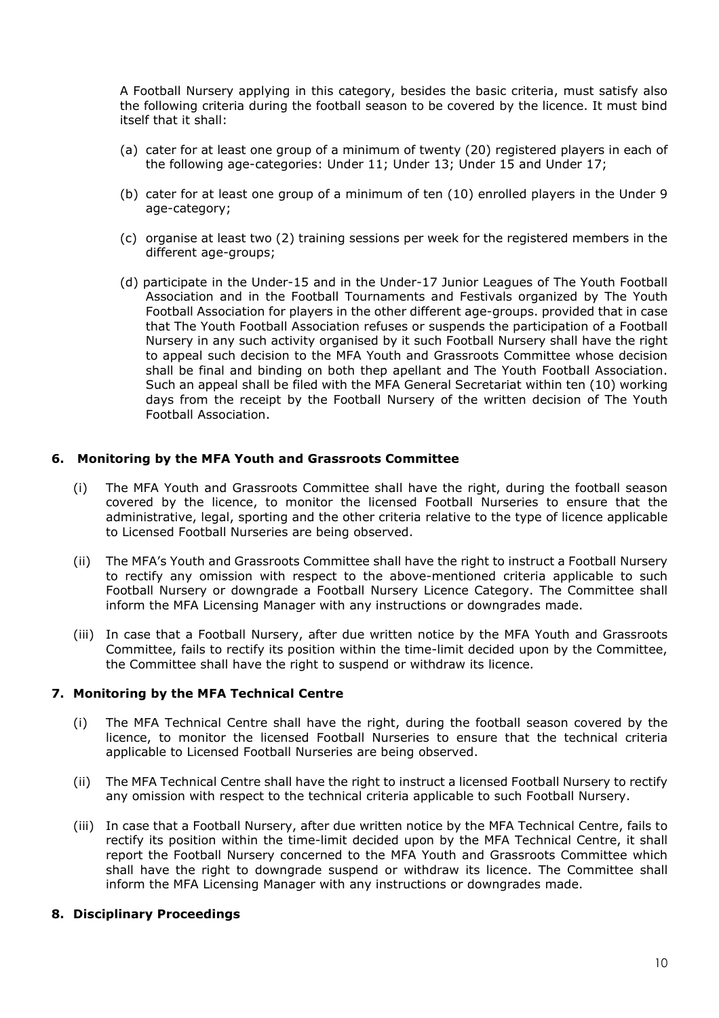A Football Nursery applying in this category, besides the basic criteria, must satisfy also the following criteria during the football season to be covered by the licence. It must bind itself that it shall:

- (a) cater for at least one group of a minimum of twenty (20) registered players in each of the following age-categories: Under 11; Under 13; Under 15 and Under 17;
- (b) cater for at least one group of a minimum of ten (10) enrolled players in the Under 9 age-category;
- (c) organise at least two (2) training sessions per week for the registered members in the different age-groups;
- (d) participate in the Under-15 and in the Under-17 Junior Leagues of The Youth Football Association and in the Football Tournaments and Festivals organized by The Youth Football Association for players in the other different age-groups. provided that in case that The Youth Football Association refuses or suspends the participation of a Football Nursery in any such activity organised by it such Football Nursery shall have the right to appeal such decision to the MFA Youth and Grassroots Committee whose decision shall be final and binding on both thep apellant and The Youth Football Association. Such an appeal shall be filed with the MFA General Secretariat within ten (10) working days from the receipt by the Football Nursery of the written decision of The Youth Football Association.

## **6. Monitoring by the MFA Youth and Grassroots Committee**

- (i) The MFA Youth and Grassroots Committee shall have the right, during the football season covered by the licence, to monitor the licensed Football Nurseries to ensure that the administrative, legal, sporting and the other criteria relative to the type of licence applicable to Licensed Football Nurseries are being observed.
- (ii) The MFA's Youth and Grassroots Committee shall have the right to instruct a Football Nursery to rectify any omission with respect to the above-mentioned criteria applicable to such Football Nursery or downgrade a Football Nursery Licence Category. The Committee shall inform the MFA Licensing Manager with any instructions or downgrades made.
- (iii) In case that a Football Nursery, after due written notice by the MFA Youth and Grassroots Committee, fails to rectify its position within the time-limit decided upon by the Committee, the Committee shall have the right to suspend or withdraw its licence.

## **7. Monitoring by the MFA Technical Centre**

- (i) The MFA Technical Centre shall have the right, during the football season covered by the licence, to monitor the licensed Football Nurseries to ensure that the technical criteria applicable to Licensed Football Nurseries are being observed.
- (ii) The MFA Technical Centre shall have the right to instruct a licensed Football Nursery to rectify any omission with respect to the technical criteria applicable to such Football Nursery.
- (iii) In case that a Football Nursery, after due written notice by the MFA Technical Centre, fails to rectify its position within the time-limit decided upon by the MFA Technical Centre, it shall report the Football Nursery concerned to the MFA Youth and Grassroots Committee which shall have the right to downgrade suspend or withdraw its licence. The Committee shall inform the MFA Licensing Manager with any instructions or downgrades made.

## **8. Disciplinary Proceedings**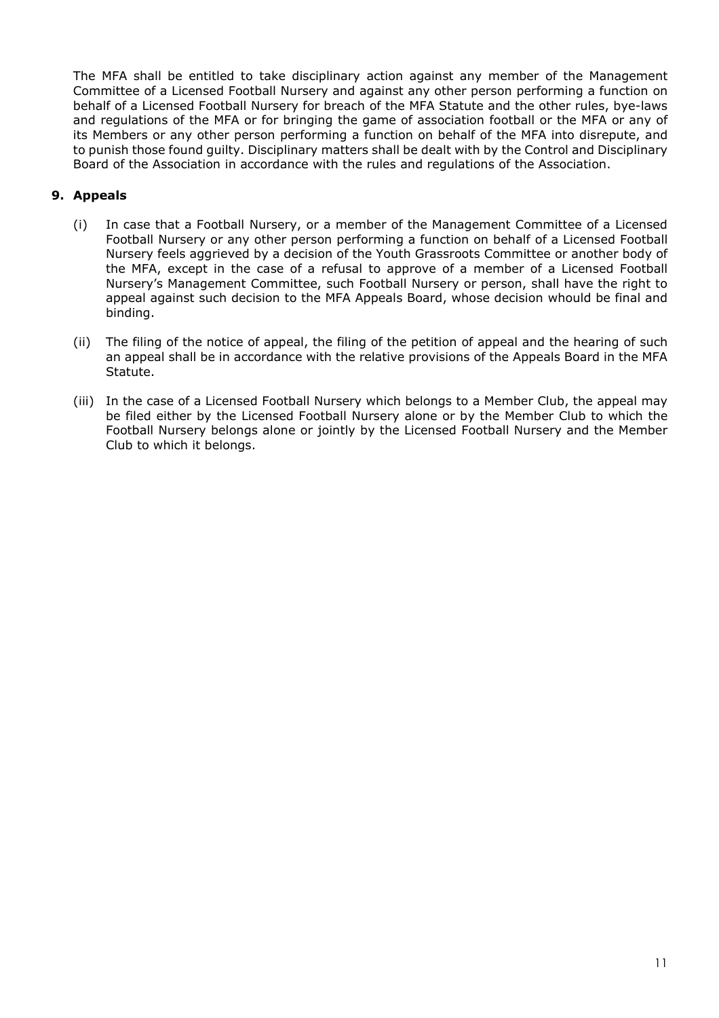The MFA shall be entitled to take disciplinary action against any member of the Management Committee of a Licensed Football Nursery and against any other person performing a function on behalf of a Licensed Football Nursery for breach of the MFA Statute and the other rules, bye-laws and regulations of the MFA or for bringing the game of association football or the MFA or any of its Members or any other person performing a function on behalf of the MFA into disrepute, and to punish those found guilty. Disciplinary matters shall be dealt with by the Control and Disciplinary Board of the Association in accordance with the rules and regulations of the Association.

## **9. Appeals**

- (i) In case that a Football Nursery, or a member of the Management Committee of a Licensed Football Nursery or any other person performing a function on behalf of a Licensed Football Nursery feels aggrieved by a decision of the Youth Grassroots Committee or another body of the MFA, except in the case of a refusal to approve of a member of a Licensed Football Nursery's Management Committee, such Football Nursery or person, shall have the right to appeal against such decision to the MFA Appeals Board, whose decision whould be final and binding.
- (ii) The filing of the notice of appeal, the filing of the petition of appeal and the hearing of such an appeal shall be in accordance with the relative provisions of the Appeals Board in the MFA Statute.
- (iii) In the case of a Licensed Football Nursery which belongs to a Member Club, the appeal may be filed either by the Licensed Football Nursery alone or by the Member Club to which the Football Nursery belongs alone or jointly by the Licensed Football Nursery and the Member Club to which it belongs.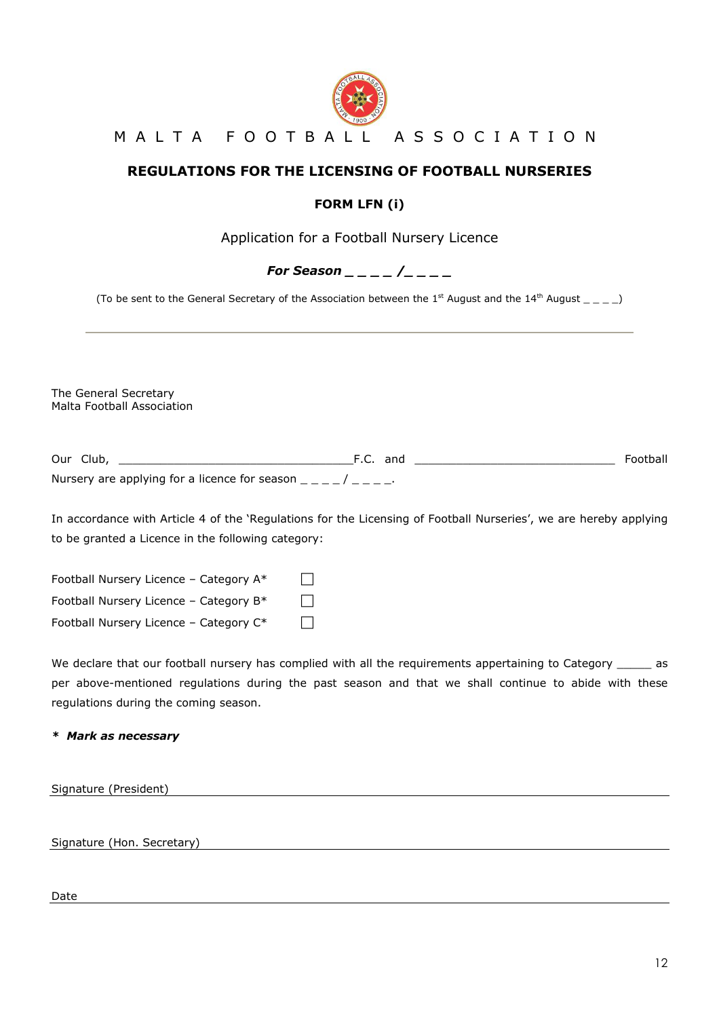

## M A L T A F O O T B A L L A S S O C I A T I O N

## **REGULATIONS FOR THE LICENSING OF FOOTBALL NURSERIES**

## **FORM LFN (i)**

Application for a Football Nursery Licence

*For Season \_ \_ \_ \_ /\_ \_ \_ \_*

(To be sent to the General Secretary of the Association between the 1st August and the 14th August  $\_\,\_\,\_ \,\_ \_ \_ \,)$ 

The General Secretary Malta Football Association

| Our Club,                                     | and | Football |
|-----------------------------------------------|-----|----------|
| Nursery are applying for a licence for season |     |          |

In accordance with Article 4 of the 'Regulations for the Licensing of Football Nurseries', we are hereby applying to be granted a Licence in the following category:

Football Nursery Licence – Category  $A^*$   $\Box$ Football Nursery Licence – Category  $B^*$   $\Box$ Football Nursery Licence – Category  $C^*$   $\Box$ 

We declare that our football nursery has complied with all the requirements appertaining to Category \_\_\_\_\_\_ as per above-mentioned regulations during the past season and that we shall continue to abide with these regulations during the coming season.

## *\* Mark as necessary*

Signature (President)

Signature (Hon. Secretary) and the state of the state of the state of the state of the state of the state of the state of the state of the state of the state of the state of the state of the state of the state of the state

Date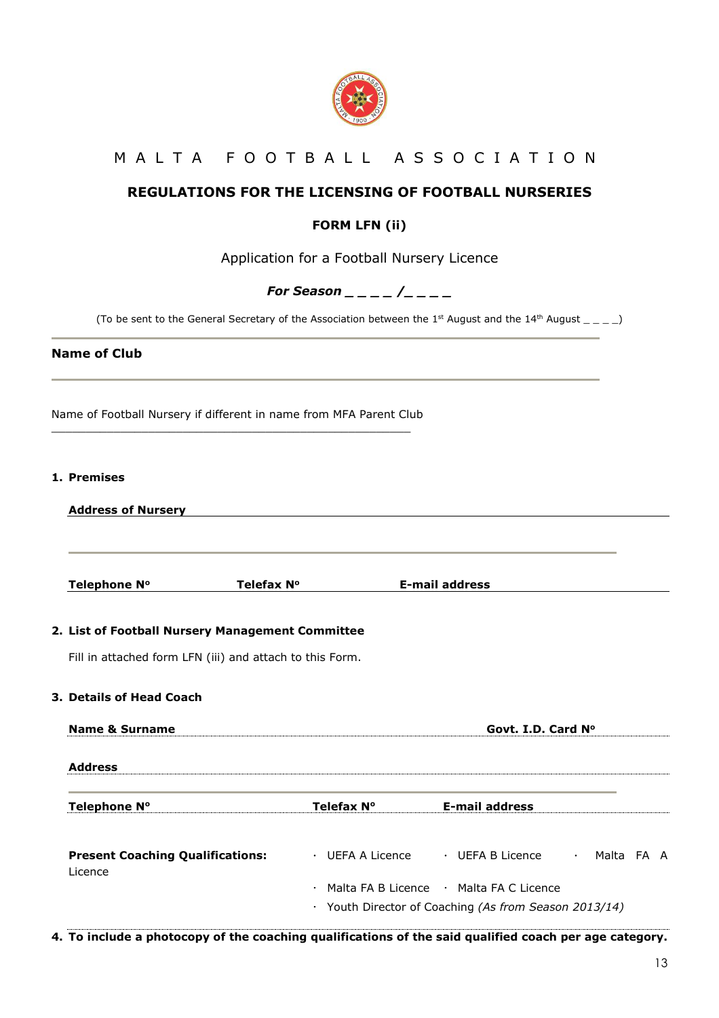

## M A L T A F O O T B A L L A S S O C I A T I O N

## **REGULATIONS FOR THE LICENSING OF FOOTBALL NURSERIES**

## **FORM LFN (ii)**

Application for a Football Nursery Licence

## *For Season \_ \_ \_ \_ /\_ \_ \_ \_*

(To be sent to the General Secretary of the Association between the 1<sup>st</sup> August and the 14<sup>th</sup> August  $\_{\,=\, -\, -}$ )

## **Name of Club**

Name of Football Nursery if different in name from MFA Parent Club \_\_\_\_\_\_\_\_\_\_\_\_\_\_\_\_\_\_\_\_\_\_\_\_\_\_\_\_\_\_\_\_\_\_\_\_\_\_\_\_\_\_\_\_\_\_\_\_\_\_\_\_

## **1. Premises**

| <b>Address of Nursery</b>                                |            |                                                       |                           |  |
|----------------------------------------------------------|------------|-------------------------------------------------------|---------------------------|--|
| Telephone N°                                             | Telefax N° | <b>E-mail address</b>                                 |                           |  |
| 2. List of Football Nursery Management Committee         |            |                                                       |                           |  |
| Fill in attached form LFN (iii) and attach to this Form. |            |                                                       |                           |  |
| 3. Details of Head Coach                                 |            |                                                       |                           |  |
| <b>Name &amp; Surname</b>                                |            | Govt. I.D. Card N°                                    |                           |  |
| <b>Address</b>                                           |            |                                                       |                           |  |
| Telephone N°                                             | Telefax N° | <b>E-mail address</b>                                 |                           |  |
| <b>Present Coaching Qualifications:</b><br>Licence       |            | · UEFA A Licence · UEFA B Licence                     | Malta FA A<br>$\bullet$ . |  |
|                                                          |            | · Malta FA B Licence · Malta FA C Licence             |                           |  |
|                                                          |            | · Youth Director of Coaching (As from Season 2013/14) |                           |  |

**4. To include a photocopy of the coaching qualifications of the said qualified coach per age category.**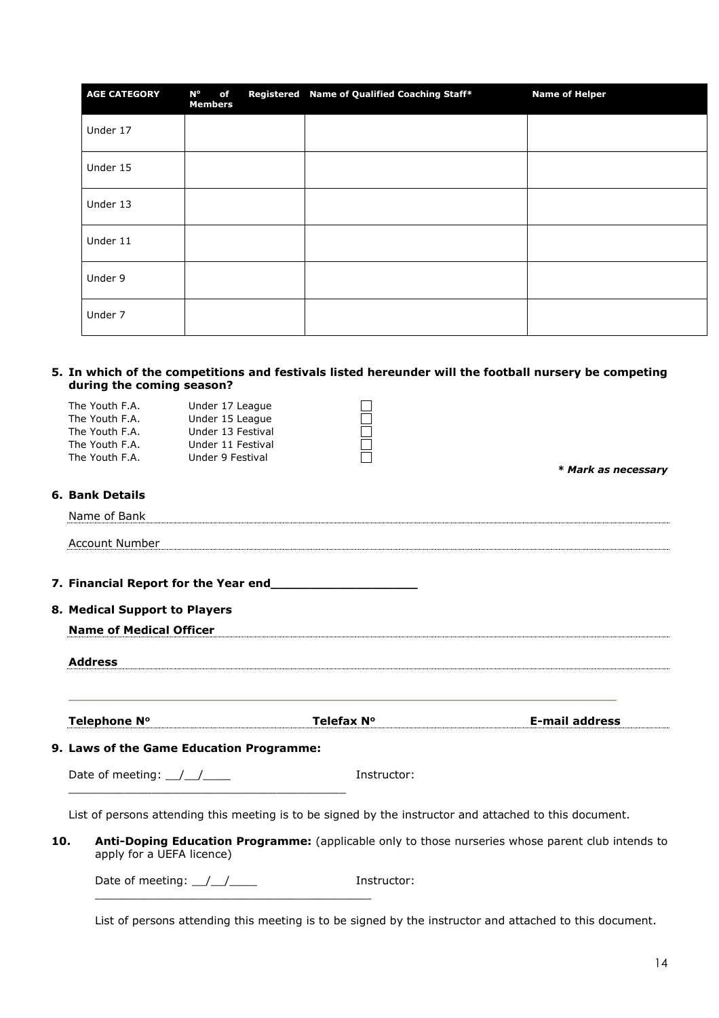| <b>AGE CATEGORY</b> | N°<br>of<br><b>Members</b> | Registered Name of Qualified Coaching Staff* | <b>Name of Helper</b> |
|---------------------|----------------------------|----------------------------------------------|-----------------------|
| Under 17            |                            |                                              |                       |
| Under 15            |                            |                                              |                       |
| Under 13            |                            |                                              |                       |
| Under 11            |                            |                                              |                       |
| Under 9             |                            |                                              |                       |
| Under 7             |                            |                                              |                       |

#### **5. In which of the competitions and festivals listed hereunder will the football nursery be competing during the coming season?**

|     | The Youth F.A.<br>The Youth F.A.<br>The Youth F.A. | Under 17 League<br>Under 15 League<br>Under 13 Festival |             |                                                                                                         |
|-----|----------------------------------------------------|---------------------------------------------------------|-------------|---------------------------------------------------------------------------------------------------------|
|     | The Youth F.A.<br>The Youth F.A.                   | Under 11 Festival<br>Under 9 Festival                   |             |                                                                                                         |
|     |                                                    |                                                         |             | * Mark as necessary                                                                                     |
|     | <b>6. Bank Details</b>                             |                                                         |             |                                                                                                         |
|     | Name of Bank                                       |                                                         |             |                                                                                                         |
|     | <b>Account Number</b>                              |                                                         |             |                                                                                                         |
|     |                                                    |                                                         |             |                                                                                                         |
|     | 8. Medical Support to Players                      |                                                         |             |                                                                                                         |
|     | <b>Name of Medical Officer</b>                     |                                                         |             |                                                                                                         |
|     | <b>Address</b>                                     |                                                         |             |                                                                                                         |
|     | Telephone N°                                       |                                                         | Telefax N°  | <b>E-mail address</b>                                                                                   |
|     |                                                    | 9. Laws of the Game Education Programme:                |             |                                                                                                         |
|     | Date of meeting: $\angle$                          |                                                         | Instructor: |                                                                                                         |
|     |                                                    |                                                         |             | List of persons attending this meeting is to be signed by the instructor and attached to this document. |
| 10. | apply for a UEFA licence)                          |                                                         |             | Anti-Doping Education Programme: (applicable only to those nurseries whose parent club intends to       |

Date of meeting: \_\_/\_\_/\_\_\_\_ Instructor: \_\_\_\_\_\_\_\_\_\_\_\_\_\_\_\_\_\_\_\_\_\_\_\_\_\_\_\_\_\_\_\_\_\_\_\_\_\_\_\_

List of persons attending this meeting is to be signed by the instructor and attached to this document.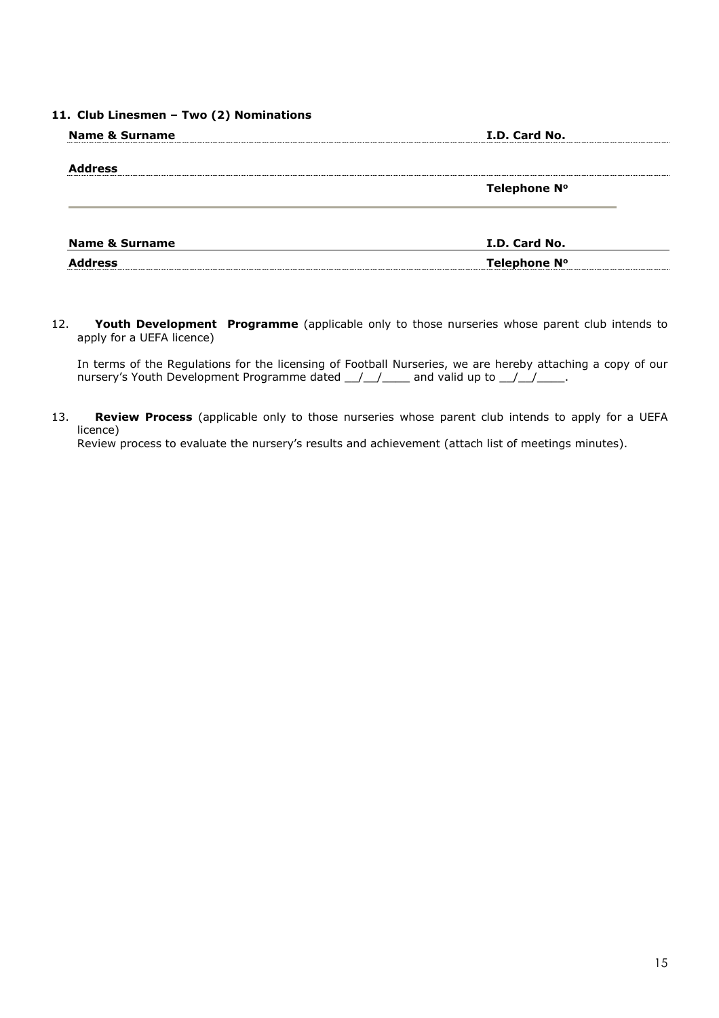## **11. Club Linesmen – Two (2) Nominations**

| <b>Name &amp; Surname</b> | I.D. Card No. |  |
|---------------------------|---------------|--|
| <b>Address</b>            |               |  |
|                           | Telephone Nº  |  |
|                           |               |  |
| <b>Name &amp; Surname</b> | I.D. Card No. |  |
| <b>Address</b>            | Telephone Nº  |  |

12. **Youth Development Programme** (applicable only to those nurseries whose parent club intends to apply for a UEFA licence)

In terms of the Regulations for the licensing of Football Nurseries, we are hereby attaching a copy of our nursery's Youth Development Programme dated  $\_\_\_\_\_\_\_\_$  and valid up to  $\_\_\_\_\_\_\_\_\_\_\_$ 

13. **Review Process** (applicable only to those nurseries whose parent club intends to apply for a UEFA licence)

Review process to evaluate the nursery's results and achievement (attach list of meetings minutes).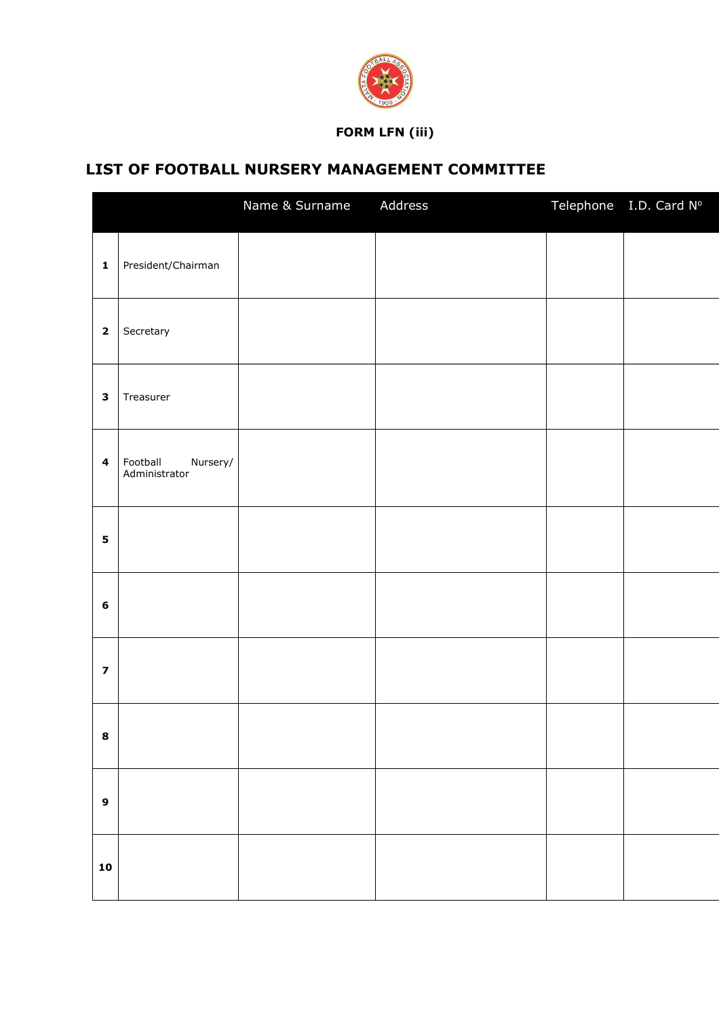

## **FORM LFN (iii)**

# **LIST OF FOOTBALL NURSERY MANAGEMENT COMMITTEE**

|                         |                                       | Name & Surname | Address | Telephone I.D. Card Nº |
|-------------------------|---------------------------------------|----------------|---------|------------------------|
| $\pmb{1}$               | President/Chairman                    |                |         |                        |
| $\mathbf 2$             | Secretary                             |                |         |                        |
| $\mathbf{3}$            | Treasurer                             |                |         |                        |
| $\overline{\mathbf{4}}$ | Nursery/<br>Football<br>Administrator |                |         |                        |
| 5                       |                                       |                |         |                        |
| $\bf 6$                 |                                       |                |         |                        |
| $\overline{\mathbf{z}}$ |                                       |                |         |                        |
| 8                       |                                       |                |         |                        |
| $\boldsymbol{9}$        |                                       |                |         |                        |
| ${\bf 10}$              |                                       |                |         |                        |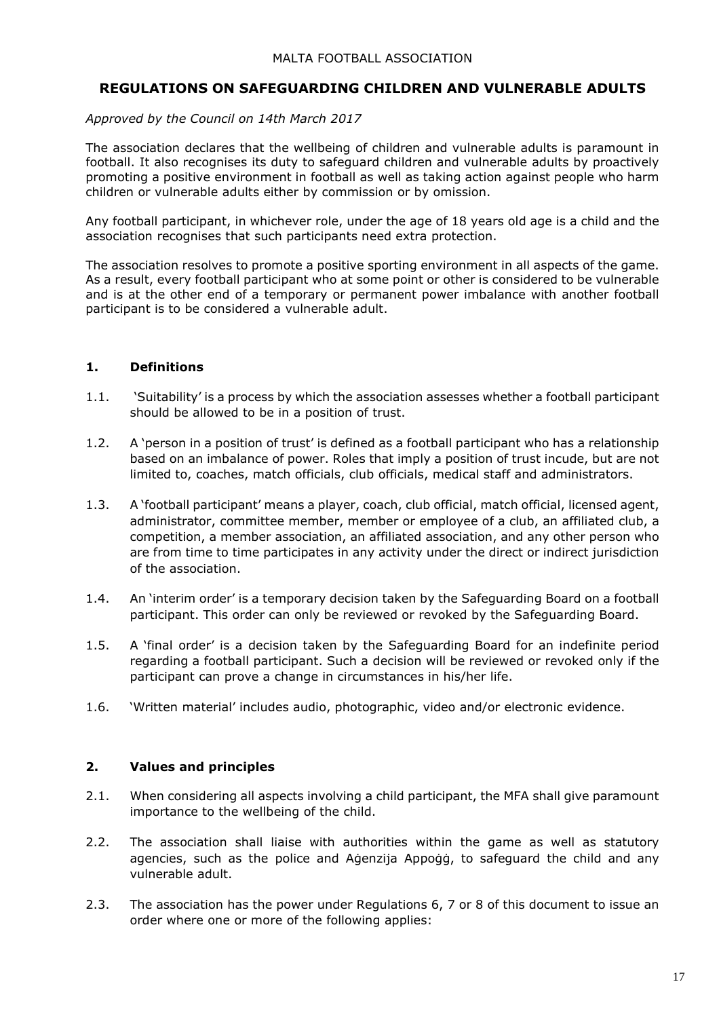## **REGULATIONS ON SAFEGUARDING CHILDREN AND VULNERABLE ADULTS**

## *Approved by the Council on 14th March 2017*

The association declares that the wellbeing of children and vulnerable adults is paramount in football. It also recognises its duty to safeguard children and vulnerable adults by proactively promoting a positive environment in football as well as taking action against people who harm children or vulnerable adults either by commission or by omission.

Any football participant, in whichever role, under the age of 18 years old age is a child and the association recognises that such participants need extra protection.

The association resolves to promote a positive sporting environment in all aspects of the game. As a result, every football participant who at some point or other is considered to be vulnerable and is at the other end of a temporary or permanent power imbalance with another football participant is to be considered a vulnerable adult.

## **1. Definitions**

- 1.1. 'Suitability' is a process by which the association assesses whether a football participant should be allowed to be in a position of trust.
- 1.2. A 'person in a position of trust' is defined as a football participant who has a relationship based on an imbalance of power. Roles that imply a position of trust incude, but are not limited to, coaches, match officials, club officials, medical staff and administrators.
- 1.3. A 'football participant' means a player, coach, club official, match official, licensed agent, administrator, committee member, member or employee of a club, an affiliated club, a competition, a member association, an affiliated association, and any other person who are from time to time participates in any activity under the direct or indirect jurisdiction of the association.
- 1.4. An 'interim order' is a temporary decision taken by the Safeguarding Board on a football participant. This order can only be reviewed or revoked by the Safeguarding Board.
- 1.5. A 'final order' is a decision taken by the Safeguarding Board for an indefinite period regarding a football participant. Such a decision will be reviewed or revoked only if the participant can prove a change in circumstances in his/her life.
- 1.6. 'Written material' includes audio, photographic, video and/or electronic evidence.

## **2. Values and principles**

- 2.1. When considering all aspects involving a child participant, the MFA shall give paramount importance to the wellbeing of the child.
- 2.2. The association shall liaise with authorities within the game as well as statutory agencies, such as the police and Aġenzija Appoġġ, to safeguard the child and any vulnerable adult.
- 2.3. The association has the power under Regulations 6, 7 or 8 of this document to issue an order where one or more of the following applies: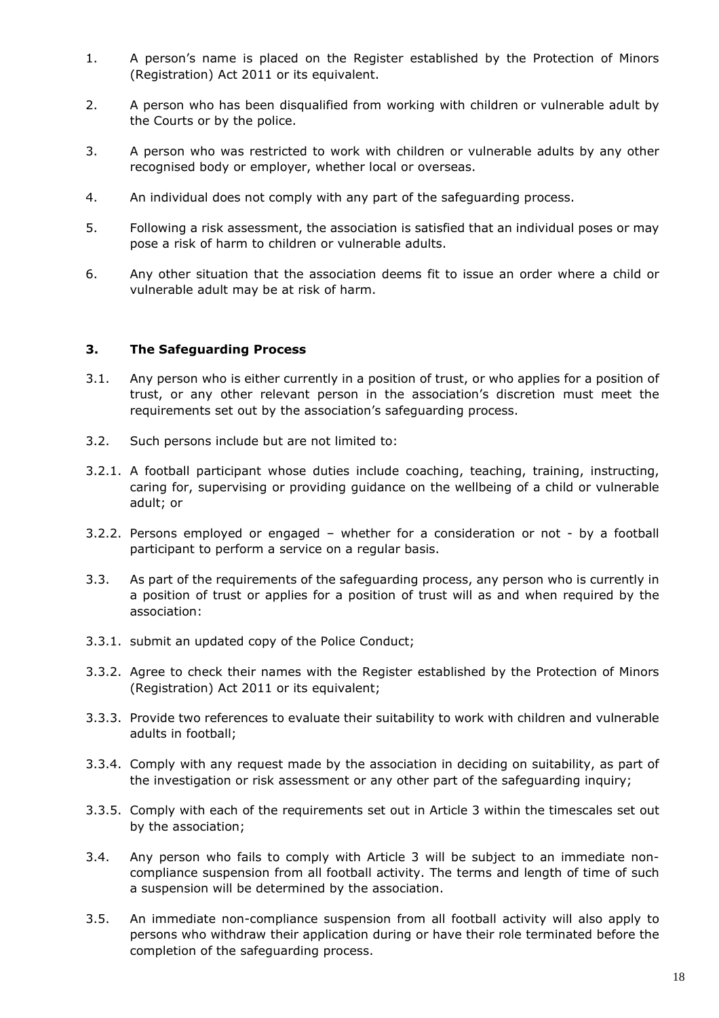- 1. A person's name is placed on the Register established by the Protection of Minors (Registration) Act 2011 or its equivalent.
- 2. A person who has been disqualified from working with children or vulnerable adult by the Courts or by the police.
- 3. A person who was restricted to work with children or vulnerable adults by any other recognised body or employer, whether local or overseas.
- 4. An individual does not comply with any part of the safeguarding process.
- 5. Following a risk assessment, the association is satisfied that an individual poses or may pose a risk of harm to children or vulnerable adults.
- 6. Any other situation that the association deems fit to issue an order where a child or vulnerable adult may be at risk of harm.

## **3. The Safeguarding Process**

- 3.1. Any person who is either currently in a position of trust, or who applies for a position of trust, or any other relevant person in the association's discretion must meet the requirements set out by the association's safeguarding process.
- 3.2. Such persons include but are not limited to:
- 3.2.1. A football participant whose duties include coaching, teaching, training, instructing, caring for, supervising or providing guidance on the wellbeing of a child or vulnerable adult; or
- 3.2.2. Persons employed or engaged whether for a consideration or not by a football participant to perform a service on a regular basis.
- 3.3. As part of the requirements of the safeguarding process, any person who is currently in a position of trust or applies for a position of trust will as and when required by the association:
- 3.3.1. submit an updated copy of the Police Conduct;
- 3.3.2. Agree to check their names with the Register established by the Protection of Minors (Registration) Act 2011 or its equivalent;
- 3.3.3. Provide two references to evaluate their suitability to work with children and vulnerable adults in football;
- 3.3.4. Comply with any request made by the association in deciding on suitability, as part of the investigation or risk assessment or any other part of the safeguarding inquiry;
- 3.3.5. Comply with each of the requirements set out in Article 3 within the timescales set out by the association;
- 3.4. Any person who fails to comply with Article 3 will be subject to an immediate noncompliance suspension from all football activity. The terms and length of time of such a suspension will be determined by the association.
- 3.5. An immediate non-compliance suspension from all football activity will also apply to persons who withdraw their application during or have their role terminated before the completion of the safeguarding process.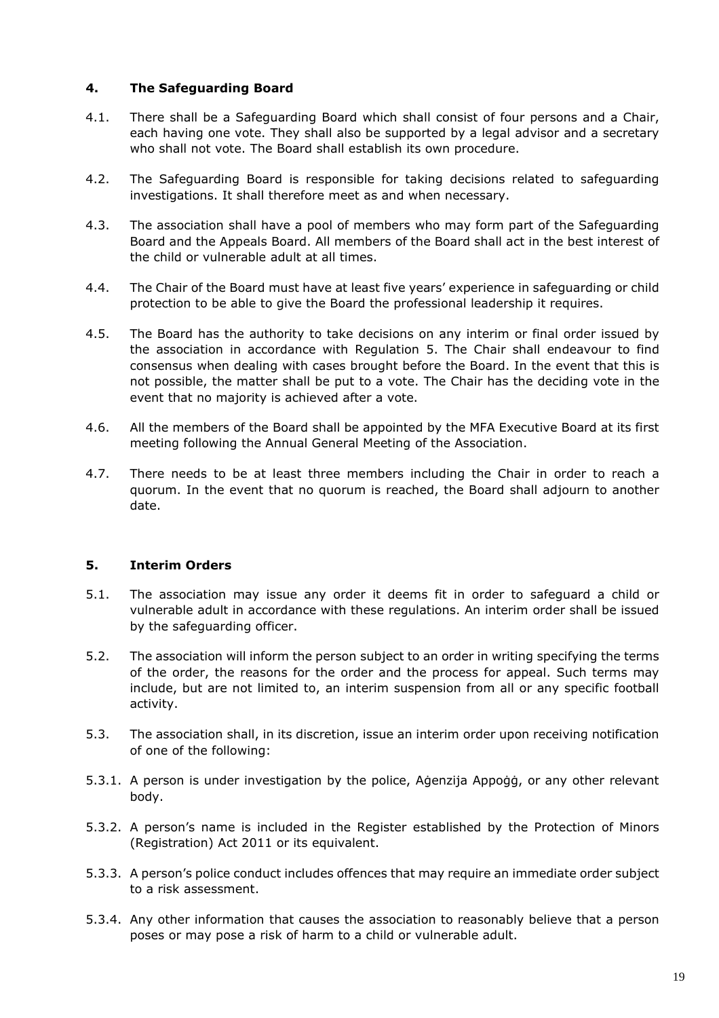## **4. The Safeguarding Board**

- 4.1. There shall be a Safeguarding Board which shall consist of four persons and a Chair, each having one vote. They shall also be supported by a legal advisor and a secretary who shall not vote. The Board shall establish its own procedure.
- 4.2. The Safeguarding Board is responsible for taking decisions related to safeguarding investigations. It shall therefore meet as and when necessary.
- 4.3. The association shall have a pool of members who may form part of the Safeguarding Board and the Appeals Board. All members of the Board shall act in the best interest of the child or vulnerable adult at all times.
- 4.4. The Chair of the Board must have at least five years' experience in safeguarding or child protection to be able to give the Board the professional leadership it requires.
- 4.5. The Board has the authority to take decisions on any interim or final order issued by the association in accordance with Regulation 5. The Chair shall endeavour to find consensus when dealing with cases brought before the Board. In the event that this is not possible, the matter shall be put to a vote. The Chair has the deciding vote in the event that no majority is achieved after a vote.
- 4.6. All the members of the Board shall be appointed by the MFA Executive Board at its first meeting following the Annual General Meeting of the Association.
- 4.7. There needs to be at least three members including the Chair in order to reach a quorum. In the event that no quorum is reached, the Board shall adjourn to another date.

## **5. Interim Orders**

- 5.1. The association may issue any order it deems fit in order to safeguard a child or vulnerable adult in accordance with these regulations. An interim order shall be issued by the safeguarding officer.
- 5.2. The association will inform the person subject to an order in writing specifying the terms of the order, the reasons for the order and the process for appeal. Such terms may include, but are not limited to, an interim suspension from all or any specific football activity.
- 5.3. The association shall, in its discretion, issue an interim order upon receiving notification of one of the following:
- 5.3.1. A person is under investigation by the police, Aġenzija Appoġġ, or any other relevant body.
- 5.3.2. A person's name is included in the Register established by the Protection of Minors (Registration) Act 2011 or its equivalent.
- 5.3.3. A person's police conduct includes offences that may require an immediate order subject to a risk assessment.
- 5.3.4. Any other information that causes the association to reasonably believe that a person poses or may pose a risk of harm to a child or vulnerable adult.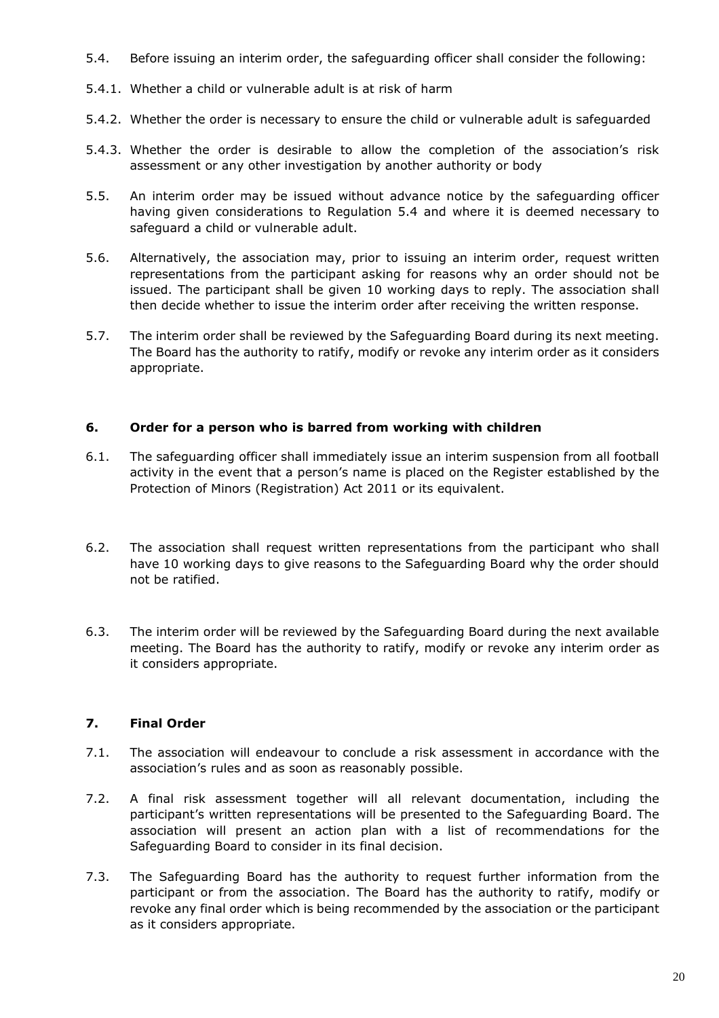- 5.4. Before issuing an interim order, the safeguarding officer shall consider the following:
- 5.4.1. Whether a child or vulnerable adult is at risk of harm
- 5.4.2. Whether the order is necessary to ensure the child or vulnerable adult is safeguarded
- 5.4.3. Whether the order is desirable to allow the completion of the association's risk assessment or any other investigation by another authority or body
- 5.5. An interim order may be issued without advance notice by the safeguarding officer having given considerations to Regulation 5.4 and where it is deemed necessary to safeguard a child or vulnerable adult.
- 5.6. Alternatively, the association may, prior to issuing an interim order, request written representations from the participant asking for reasons why an order should not be issued. The participant shall be given 10 working days to reply. The association shall then decide whether to issue the interim order after receiving the written response.
- 5.7. The interim order shall be reviewed by the Safeguarding Board during its next meeting. The Board has the authority to ratify, modify or revoke any interim order as it considers appropriate.

## **6. Order for a person who is barred from working with children**

- 6.1. The safeguarding officer shall immediately issue an interim suspension from all football activity in the event that a person's name is placed on the Register established by the Protection of Minors (Registration) Act 2011 or its equivalent.
- 6.2. The association shall request written representations from the participant who shall have 10 working days to give reasons to the Safeguarding Board why the order should not be ratified.
- 6.3. The interim order will be reviewed by the Safeguarding Board during the next available meeting. The Board has the authority to ratify, modify or revoke any interim order as it considers appropriate.

## **7. Final Order**

- 7.1. The association will endeavour to conclude a risk assessment in accordance with the association's rules and as soon as reasonably possible.
- 7.2. A final risk assessment together will all relevant documentation, including the participant's written representations will be presented to the Safeguarding Board. The association will present an action plan with a list of recommendations for the Safeguarding Board to consider in its final decision.
- 7.3. The Safeguarding Board has the authority to request further information from the participant or from the association. The Board has the authority to ratify, modify or revoke any final order which is being recommended by the association or the participant as it considers appropriate.